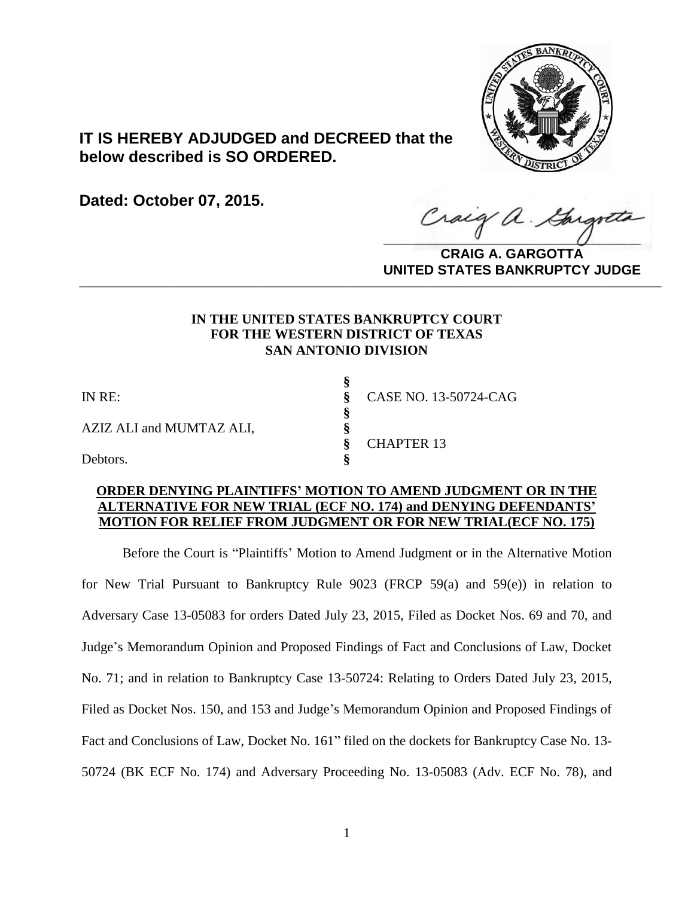

# **IT IS HEREBY ADJUDGED and DECREED that the below described is SO ORDERED.**

**Dated: October 07, 2015.**

**\_\_\_\_\_\_\_\_\_\_\_\_\_\_\_\_\_\_\_\_\_\_\_\_\_\_\_\_\_\_\_\_\_\_** Gargott

**CRAIG A. GARGOTTA UNITED STATES BANKRUPTCY JUDGE PRITED DIATED BARRACT TOT 00DCE** 

# **IN THE UNITED STATES BANKRUPTCY COURT FOR THE WESTERN DISTRICT OF TEXAS SAN ANTONIO DIVISION**

**§**

**§**

AZIZ ALI and MUMTAZ ALI, **§**

IN RE: **§** CASE NO. 13-50724-CAG **§** CHAPTER 13

Debtors. **§**

### **ORDER DENYING PLAINTIFFS' MOTION TO AMEND JUDGMENT OR IN THE ALTERNATIVE FOR NEW TRIAL (ECF NO. 174) and DENYING DEFENDANTS' MOTION FOR RELIEF FROM JUDGMENT OR FOR NEW TRIAL(ECF NO. 175)**

Before the Court is "Plaintiffs' Motion to Amend Judgment or in the Alternative Motion for New Trial Pursuant to Bankruptcy Rule 9023 (FRCP 59(a) and 59(e)) in relation to Adversary Case 13-05083 for orders Dated July 23, 2015, Filed as Docket Nos. 69 and 70, and Judge's Memorandum Opinion and Proposed Findings of Fact and Conclusions of Law, Docket No. 71; and in relation to Bankruptcy Case 13-50724: Relating to Orders Dated July 23, 2015, Filed as Docket Nos. 150, and 153 and Judge's Memorandum Opinion and Proposed Findings of Fact and Conclusions of Law, Docket No. 161" filed on the dockets for Bankruptcy Case No. 13- 50724 (BK ECF No. 174) and Adversary Proceeding No. 13-05083 (Adv. ECF No. 78), and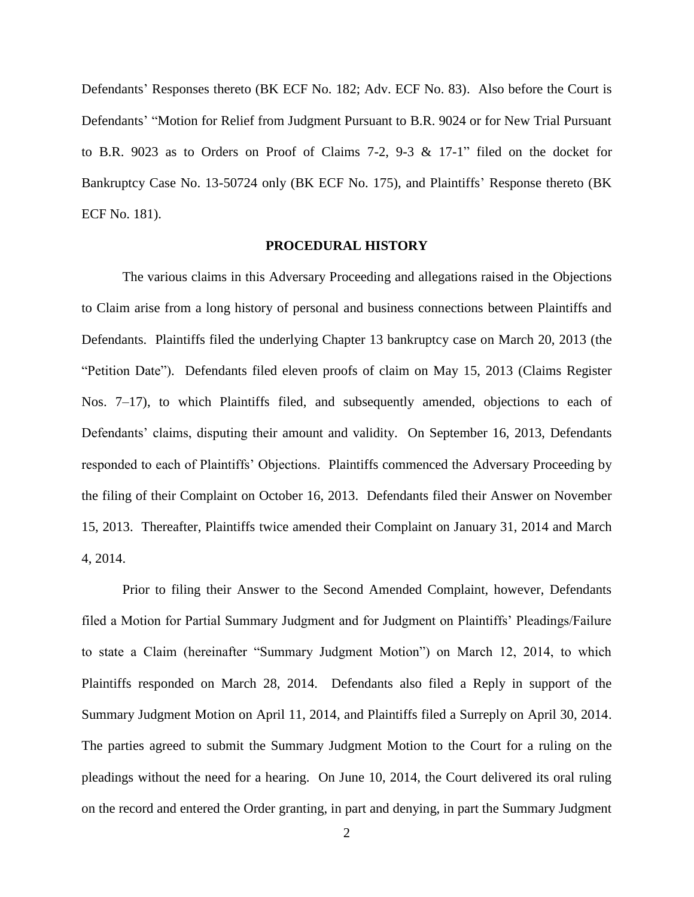Defendants' Responses thereto (BK ECF No. 182; Adv. ECF No. 83). Also before the Court is Defendants' "Motion for Relief from Judgment Pursuant to B.R. 9024 or for New Trial Pursuant to B.R. 9023 as to Orders on Proof of Claims 7-2, 9-3 & 17-1" filed on the docket for Bankruptcy Case No. 13-50724 only (BK ECF No. 175), and Plaintiffs' Response thereto (BK ECF No. 181).

#### **PROCEDURAL HISTORY**

The various claims in this Adversary Proceeding and allegations raised in the Objections to Claim arise from a long history of personal and business connections between Plaintiffs and Defendants. Plaintiffs filed the underlying Chapter 13 bankruptcy case on March 20, 2013 (the "Petition Date").Defendants filed eleven proofs of claim on May 15, 2013 (Claims Register Nos. 7–17), to which Plaintiffs filed, and subsequently amended, objections to each of Defendants' claims, disputing their amount and validity. On September 16, 2013, Defendants responded to each of Plaintiffs' Objections. Plaintiffs commenced the Adversary Proceeding by the filing of their Complaint on October 16, 2013. Defendants filed their Answer on November 15, 2013. Thereafter, Plaintiffs twice amended their Complaint on January 31, 2014 and March 4, 2014.

Prior to filing their Answer to the Second Amended Complaint, however, Defendants filed a Motion for Partial Summary Judgment and for Judgment on Plaintiffs' Pleadings/Failure to state a Claim (hereinafter "Summary Judgment Motion") on March 12, 2014, to which Plaintiffs responded on March 28, 2014. Defendants also filed a Reply in support of the Summary Judgment Motion on April 11, 2014, and Plaintiffs filed a Surreply on April 30, 2014. The parties agreed to submit the Summary Judgment Motion to the Court for a ruling on the pleadings without the need for a hearing. On June 10, 2014, the Court delivered its oral ruling on the record and entered the Order granting, in part and denying, in part the Summary Judgment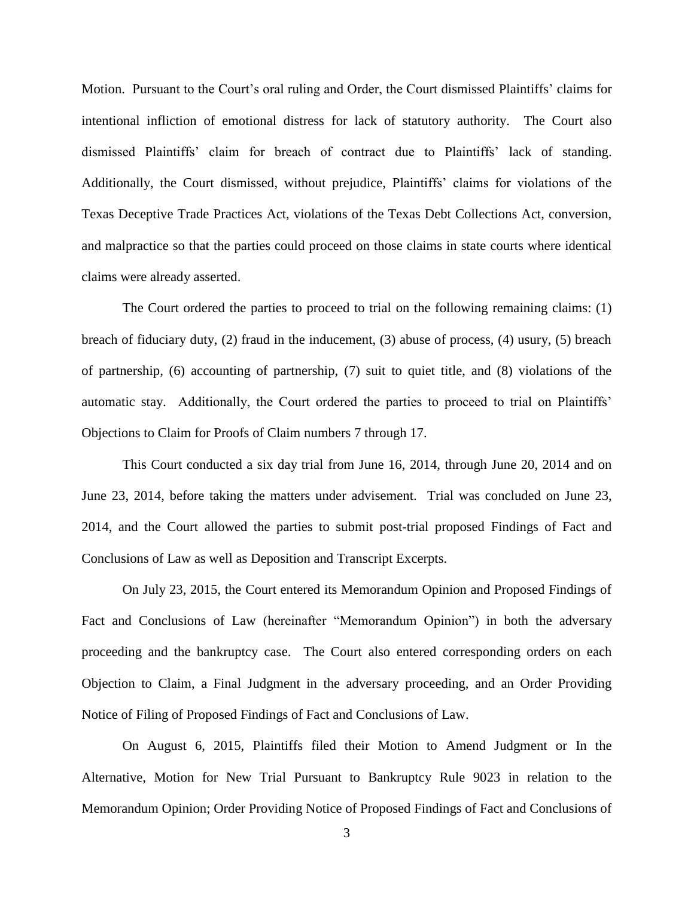Motion. Pursuant to the Court's oral ruling and Order, the Court dismissed Plaintiffs' claims for intentional infliction of emotional distress for lack of statutory authority. The Court also dismissed Plaintiffs' claim for breach of contract due to Plaintiffs' lack of standing. Additionally, the Court dismissed, without prejudice, Plaintiffs' claims for violations of the Texas Deceptive Trade Practices Act, violations of the Texas Debt Collections Act, conversion, and malpractice so that the parties could proceed on those claims in state courts where identical claims were already asserted.

The Court ordered the parties to proceed to trial on the following remaining claims: (1) breach of fiduciary duty, (2) fraud in the inducement, (3) abuse of process, (4) usury, (5) breach of partnership, (6) accounting of partnership, (7) suit to quiet title, and (8) violations of the automatic stay. Additionally, the Court ordered the parties to proceed to trial on Plaintiffs' Objections to Claim for Proofs of Claim numbers 7 through 17.

This Court conducted a six day trial from June 16, 2014, through June 20, 2014 and on June 23, 2014, before taking the matters under advisement. Trial was concluded on June 23, 2014, and the Court allowed the parties to submit post-trial proposed Findings of Fact and Conclusions of Law as well as Deposition and Transcript Excerpts.

On July 23, 2015, the Court entered its Memorandum Opinion and Proposed Findings of Fact and Conclusions of Law (hereinafter "Memorandum Opinion") in both the adversary proceeding and the bankruptcy case. The Court also entered corresponding orders on each Objection to Claim, a Final Judgment in the adversary proceeding, and an Order Providing Notice of Filing of Proposed Findings of Fact and Conclusions of Law.

On August 6, 2015, Plaintiffs filed their Motion to Amend Judgment or In the Alternative, Motion for New Trial Pursuant to Bankruptcy Rule 9023 in relation to the Memorandum Opinion; Order Providing Notice of Proposed Findings of Fact and Conclusions of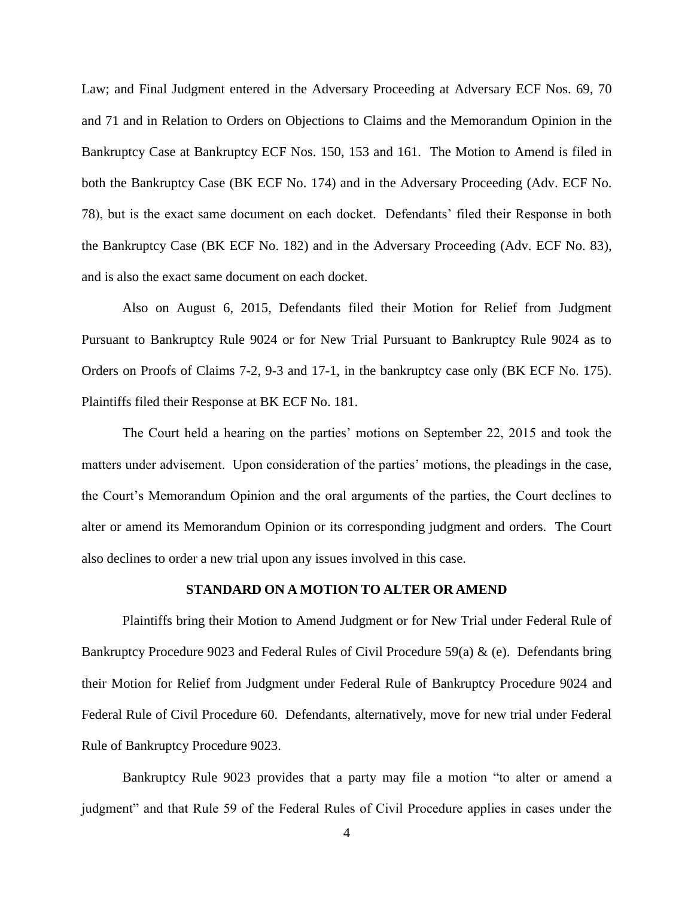Law; and Final Judgment entered in the Adversary Proceeding at Adversary ECF Nos. 69, 70 and 71 and in Relation to Orders on Objections to Claims and the Memorandum Opinion in the Bankruptcy Case at Bankruptcy ECF Nos. 150, 153 and 161. The Motion to Amend is filed in both the Bankruptcy Case (BK ECF No. 174) and in the Adversary Proceeding (Adv. ECF No. 78), but is the exact same document on each docket. Defendants' filed their Response in both the Bankruptcy Case (BK ECF No. 182) and in the Adversary Proceeding (Adv. ECF No. 83), and is also the exact same document on each docket.

Also on August 6, 2015, Defendants filed their Motion for Relief from Judgment Pursuant to Bankruptcy Rule 9024 or for New Trial Pursuant to Bankruptcy Rule 9024 as to Orders on Proofs of Claims 7-2, 9-3 and 17-1, in the bankruptcy case only (BK ECF No. 175). Plaintiffs filed their Response at BK ECF No. 181.

The Court held a hearing on the parties' motions on September 22, 2015 and took the matters under advisement. Upon consideration of the parties' motions, the pleadings in the case, the Court's Memorandum Opinion and the oral arguments of the parties, the Court declines to alter or amend its Memorandum Opinion or its corresponding judgment and orders. The Court also declines to order a new trial upon any issues involved in this case.

#### **STANDARD ON A MOTION TO ALTER OR AMEND**

Plaintiffs bring their Motion to Amend Judgment or for New Trial under Federal Rule of Bankruptcy Procedure 9023 and Federal Rules of Civil Procedure 59(a) & (e). Defendants bring their Motion for Relief from Judgment under Federal Rule of Bankruptcy Procedure 9024 and Federal Rule of Civil Procedure 60. Defendants, alternatively, move for new trial under Federal Rule of Bankruptcy Procedure 9023.

Bankruptcy Rule 9023 provides that a party may file a motion "to alter or amend a judgment" and that Rule 59 of the Federal Rules of Civil Procedure applies in cases under the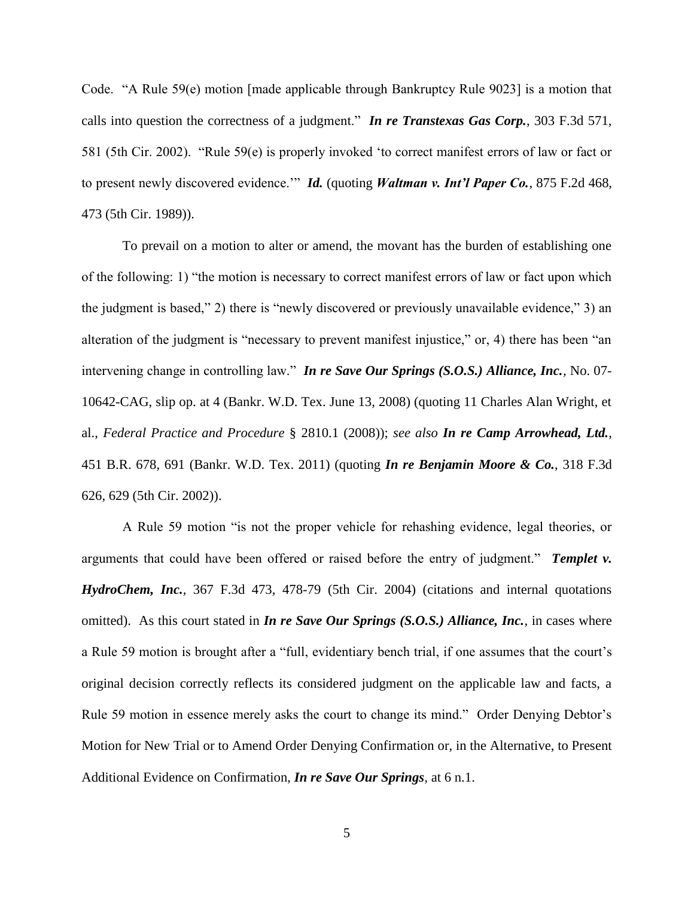Code. "A Rule 59(e) motion [made applicable through Bankruptcy Rule 9023] is a motion that calls into question the correctness of a judgment." *In re Transtexas Gas Corp.*, 303 F.3d 571, 581 (5th Cir. 2002). "Rule 59(e) is properly invoked 'to correct manifest errors of law or fact or to present newly discovered evidence.'" *Id.* (quoting *Waltman v. Int'l Paper Co.*, 875 F.2d 468, 473 (5th Cir. 1989)).

To prevail on a motion to alter or amend, the movant has the burden of establishing one of the following: 1) "the motion is necessary to correct manifest errors of law or fact upon which the judgment is based," 2) there is "newly discovered or previously unavailable evidence," 3) an alteration of the judgment is "necessary to prevent manifest injustice," or, 4) there has been "an intervening change in controlling law." *In re Save Our Springs (S.O.S.) Alliance, Inc.,* No. 07- 10642-CAG, slip op. at 4 (Bankr. W.D. Tex. June 13, 2008) (quoting 11 Charles Alan Wright, et al., *Federal Practice and Procedure* § 2810.1 (2008)); *see also In re Camp Arrowhead, Ltd.*, 451 B.R. 678, 691 (Bankr. W.D. Tex. 2011) (quoting *In re Benjamin Moore & Co.*, 318 F.3d 626, 629 (5th Cir. 2002)).

A Rule 59 motion "is not the proper vehicle for rehashing evidence, legal theories, or arguments that could have been offered or raised before the entry of judgment." *Templet v. HydroChem, Inc.,* 367 F.3d 473, 478-79 (5th Cir. 2004) (citations and internal quotations omitted). As this court stated in *In re Save Our Springs (S.O.S.) Alliance, Inc.,* in cases where a Rule 59 motion is brought after a "full, evidentiary bench trial, if one assumes that the court's original decision correctly reflects its considered judgment on the applicable law and facts, a Rule 59 motion in essence merely asks the court to change its mind." Order Denying Debtor's Motion for New Trial or to Amend Order Denying Confirmation or, in the Alternative, to Present Additional Evidence on Confirmation, *In re Save Our Springs,* at 6 n.1.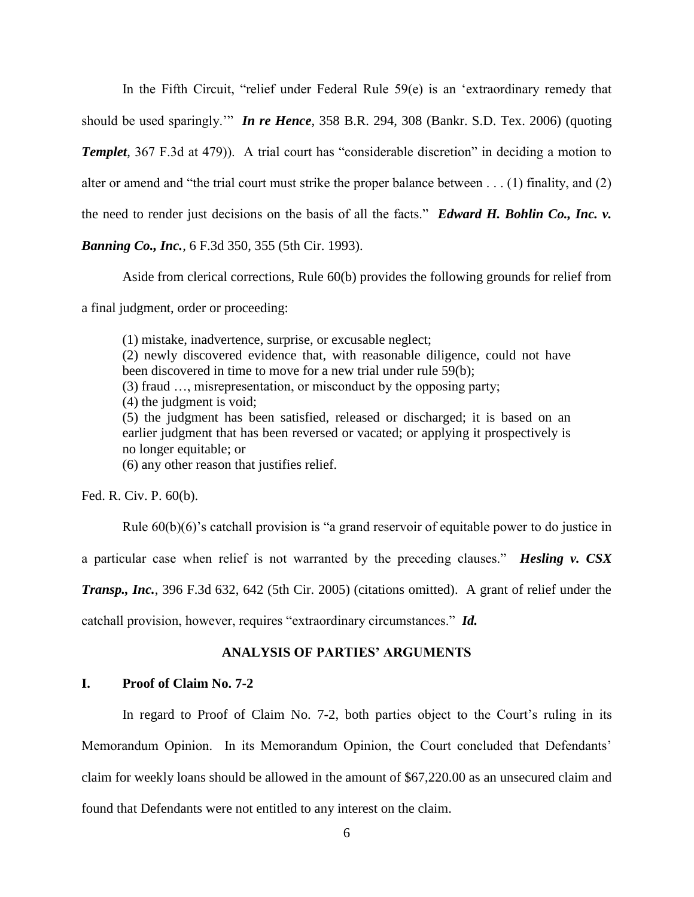In the Fifth Circuit, "relief under Federal Rule 59(e) is an 'extraordinary remedy that

should be used sparingly.'" *In re Hence*, 358 B.R. 294, 308 (Bankr. S.D. Tex. 2006) (quoting

*Templet*, 367 F.3d at 479)). A trial court has "considerable discretion" in deciding a motion to

alter or amend and "the trial court must strike the proper balance between . . . (1) finality, and (2)

the need to render just decisions on the basis of all the facts." *Edward H. Bohlin Co., Inc. v.* 

*Banning Co., Inc.*, 6 F.3d 350, 355 (5th Cir. 1993).

Aside from clerical corrections, Rule 60(b) provides the following grounds for relief from

a final judgment, order or proceeding:

(1) mistake, inadvertence, surprise, or excusable neglect; (2) newly discovered evidence that, with reasonable diligence, could not have been discovered in time to move for a new trial under rule 59(b); (3) fraud …, misrepresentation, or misconduct by the opposing party; (4) the judgment is void; (5) the judgment has been satisfied, released or discharged; it is based on an earlier judgment that has been reversed or vacated; or applying it prospectively is no longer equitable; or (6) any other reason that justifies relief.

Fed. R. Civ. P. 60(b).

Rule 60(b)(6)'s catchall provision is "a grand reservoir of equitable power to do justice in

a particular case when relief is not warranted by the preceding clauses." *Hesling v. CSX* 

*Transp., Inc.*, 396 F.3d 632, 642 (5th Cir. 2005) (citations omitted). A grant of relief under the

catchall provision, however, requires "extraordinary circumstances." *Id.*

#### **ANALYSIS OF PARTIES' ARGUMENTS**

#### **I. Proof of Claim No. 7-2**

In regard to Proof of Claim No. 7-2, both parties object to the Court's ruling in its Memorandum Opinion. In its Memorandum Opinion, the Court concluded that Defendants' claim for weekly loans should be allowed in the amount of \$67,220.00 as an unsecured claim and found that Defendants were not entitled to any interest on the claim.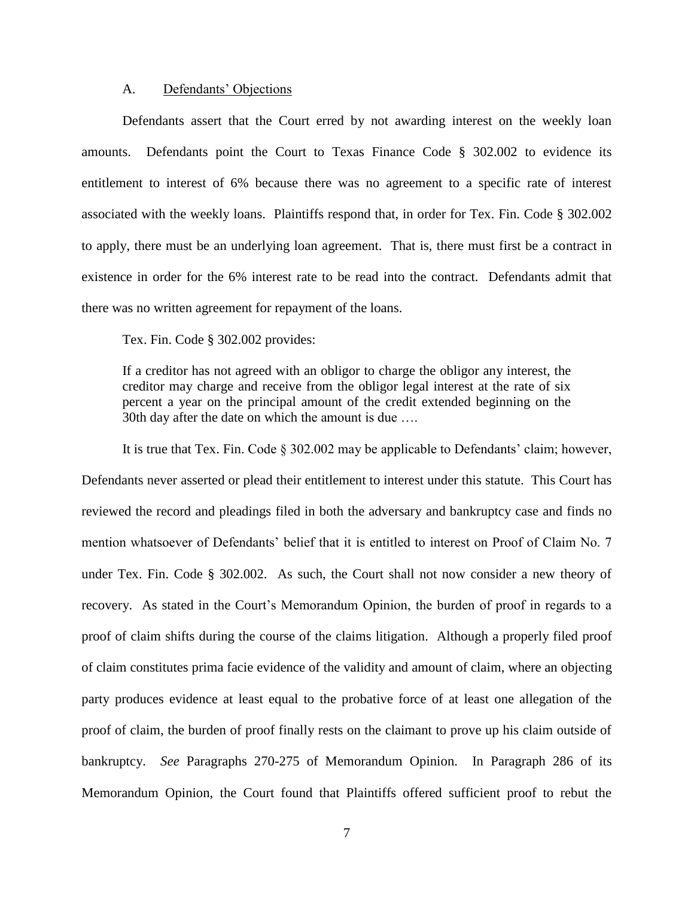#### A. Defendants' Objections

Defendants assert that the Court erred by not awarding interest on the weekly loan amounts. Defendants point the Court to Texas Finance Code § 302.002 to evidence its entitlement to interest of 6% because there was no agreement to a specific rate of interest associated with the weekly loans. Plaintiffs respond that, in order for Tex. Fin. Code § 302.002 to apply, there must be an underlying loan agreement. That is, there must first be a contract in existence in order for the 6% interest rate to be read into the contract. Defendants admit that there was no written agreement for repayment of the loans.

Tex. Fin. Code § 302.002 provides:

If a creditor has not agreed with an obligor to charge the obligor any interest, the creditor may charge and receive from the obligor legal interest at the rate of six percent a year on the principal amount of the credit extended beginning on the 30th day after the date on which the amount is due ….

 It is true that Tex. Fin. Code § 302.002 may be applicable to Defendants' claim; however, Defendants never asserted or plead their entitlement to interest under this statute. This Court has reviewed the record and pleadings filed in both the adversary and bankruptcy case and finds no mention whatsoever of Defendants' belief that it is entitled to interest on Proof of Claim No. 7 under Tex. Fin. Code § 302.002. As such, the Court shall not now consider a new theory of recovery. As stated in the Court's Memorandum Opinion, the burden of proof in regards to a proof of claim shifts during the course of the claims litigation. Although a properly filed proof of claim constitutes prima facie evidence of the validity and amount of claim, where an objecting party produces evidence at least equal to the probative force of at least one allegation of the proof of claim, the burden of proof finally rests on the claimant to prove up his claim outside of bankruptcy. *See* Paragraphs 270-275 of Memorandum Opinion. In Paragraph 286 of its Memorandum Opinion, the Court found that Plaintiffs offered sufficient proof to rebut the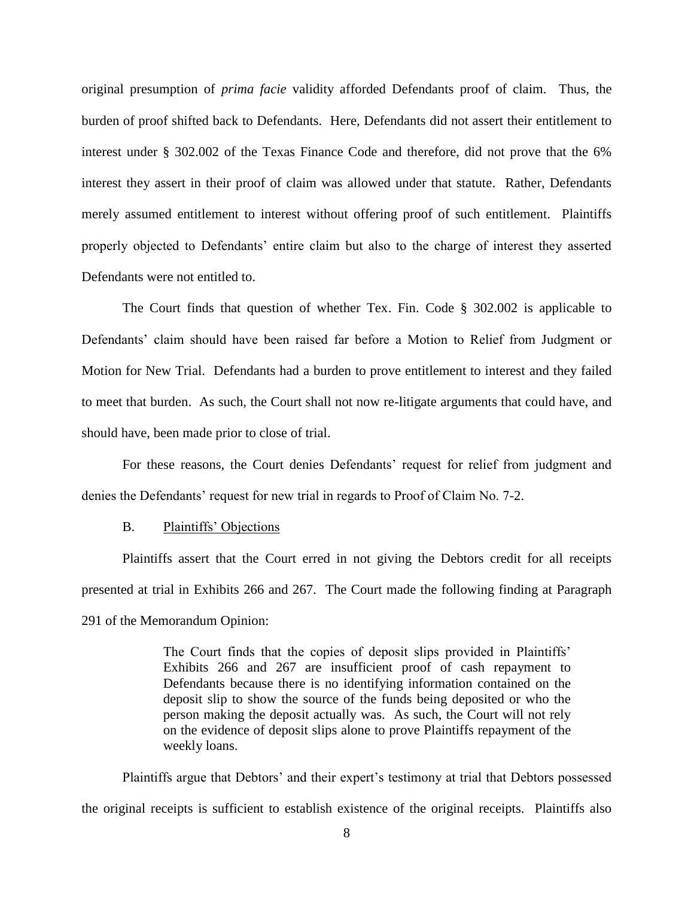original presumption of *prima facie* validity afforded Defendants proof of claim. Thus, the burden of proof shifted back to Defendants. Here, Defendants did not assert their entitlement to interest under § 302.002 of the Texas Finance Code and therefore, did not prove that the 6% interest they assert in their proof of claim was allowed under that statute. Rather, Defendants merely assumed entitlement to interest without offering proof of such entitlement. Plaintiffs properly objected to Defendants' entire claim but also to the charge of interest they asserted Defendants were not entitled to.

The Court finds that question of whether Tex. Fin. Code § 302.002 is applicable to Defendants' claim should have been raised far before a Motion to Relief from Judgment or Motion for New Trial. Defendants had a burden to prove entitlement to interest and they failed to meet that burden. As such, the Court shall not now re-litigate arguments that could have, and should have, been made prior to close of trial.

For these reasons, the Court denies Defendants' request for relief from judgment and denies the Defendants' request for new trial in regards to Proof of Claim No. 7-2.

#### B. Plaintiffs' Objections

Plaintiffs assert that the Court erred in not giving the Debtors credit for all receipts presented at trial in Exhibits 266 and 267. The Court made the following finding at Paragraph 291 of the Memorandum Opinion:

> The Court finds that the copies of deposit slips provided in Plaintiffs' Exhibits 266 and 267 are insufficient proof of cash repayment to Defendants because there is no identifying information contained on the deposit slip to show the source of the funds being deposited or who the person making the deposit actually was. As such, the Court will not rely on the evidence of deposit slips alone to prove Plaintiffs repayment of the weekly loans.

Plaintiffs argue that Debtors' and their expert's testimony at trial that Debtors possessed the original receipts is sufficient to establish existence of the original receipts. Plaintiffs also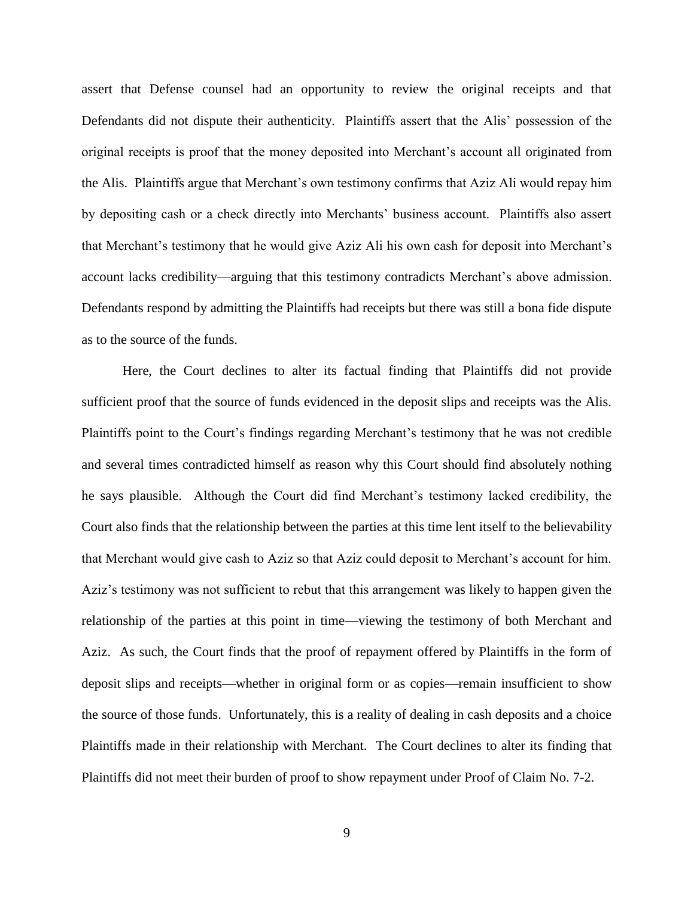assert that Defense counsel had an opportunity to review the original receipts and that Defendants did not dispute their authenticity. Plaintiffs assert that the Alis' possession of the original receipts is proof that the money deposited into Merchant's account all originated from the Alis. Plaintiffs argue that Merchant's own testimony confirms that Aziz Ali would repay him by depositing cash or a check directly into Merchants' business account. Plaintiffs also assert that Merchant's testimony that he would give Aziz Ali his own cash for deposit into Merchant's account lacks credibility—arguing that this testimony contradicts Merchant's above admission. Defendants respond by admitting the Plaintiffs had receipts but there was still a bona fide dispute as to the source of the funds.

Here, the Court declines to alter its factual finding that Plaintiffs did not provide sufficient proof that the source of funds evidenced in the deposit slips and receipts was the Alis. Plaintiffs point to the Court's findings regarding Merchant's testimony that he was not credible and several times contradicted himself as reason why this Court should find absolutely nothing he says plausible. Although the Court did find Merchant's testimony lacked credibility, the Court also finds that the relationship between the parties at this time lent itself to the believability that Merchant would give cash to Aziz so that Aziz could deposit to Merchant's account for him. Aziz's testimony was not sufficient to rebut that this arrangement was likely to happen given the relationship of the parties at this point in time—viewing the testimony of both Merchant and Aziz. As such, the Court finds that the proof of repayment offered by Plaintiffs in the form of deposit slips and receipts—whether in original form or as copies—remain insufficient to show the source of those funds. Unfortunately, this is a reality of dealing in cash deposits and a choice Plaintiffs made in their relationship with Merchant. The Court declines to alter its finding that Plaintiffs did not meet their burden of proof to show repayment under Proof of Claim No. 7-2.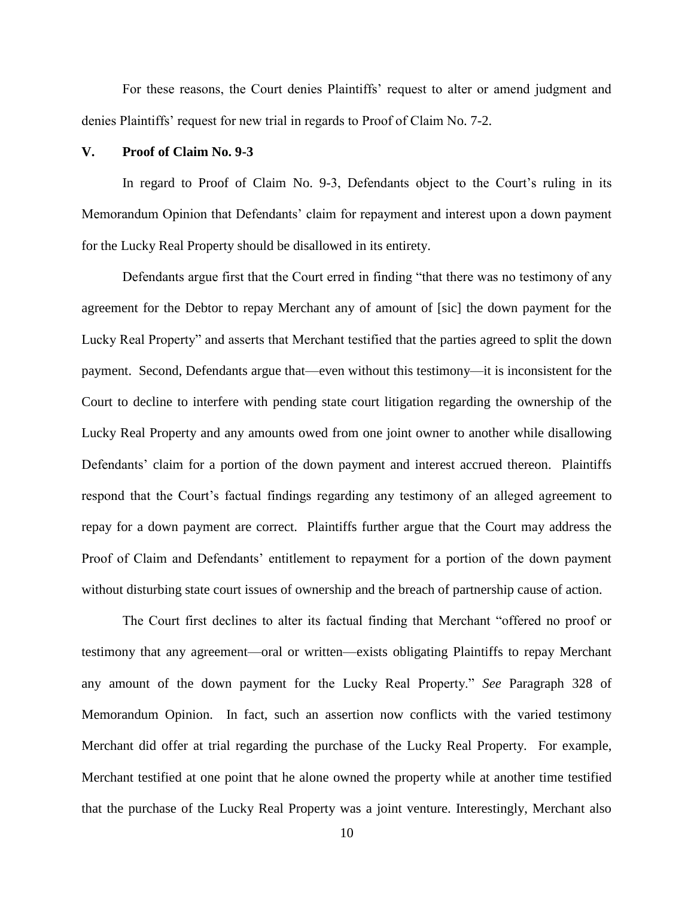For these reasons, the Court denies Plaintiffs' request to alter or amend judgment and denies Plaintiffs' request for new trial in regards to Proof of Claim No. 7-2.

### **V. Proof of Claim No. 9-3**

In regard to Proof of Claim No. 9-3, Defendants object to the Court's ruling in its Memorandum Opinion that Defendants' claim for repayment and interest upon a down payment for the Lucky Real Property should be disallowed in its entirety.

Defendants argue first that the Court erred in finding "that there was no testimony of any agreement for the Debtor to repay Merchant any of amount of [sic] the down payment for the Lucky Real Property" and asserts that Merchant testified that the parties agreed to split the down payment. Second, Defendants argue that—even without this testimony—it is inconsistent for the Court to decline to interfere with pending state court litigation regarding the ownership of the Lucky Real Property and any amounts owed from one joint owner to another while disallowing Defendants' claim for a portion of the down payment and interest accrued thereon. Plaintiffs respond that the Court's factual findings regarding any testimony of an alleged agreement to repay for a down payment are correct. Plaintiffs further argue that the Court may address the Proof of Claim and Defendants' entitlement to repayment for a portion of the down payment without disturbing state court issues of ownership and the breach of partnership cause of action.

The Court first declines to alter its factual finding that Merchant "offered no proof or testimony that any agreement—oral or written—exists obligating Plaintiffs to repay Merchant any amount of the down payment for the Lucky Real Property." *See* Paragraph 328 of Memorandum Opinion. In fact, such an assertion now conflicts with the varied testimony Merchant did offer at trial regarding the purchase of the Lucky Real Property. For example, Merchant testified at one point that he alone owned the property while at another time testified that the purchase of the Lucky Real Property was a joint venture. Interestingly, Merchant also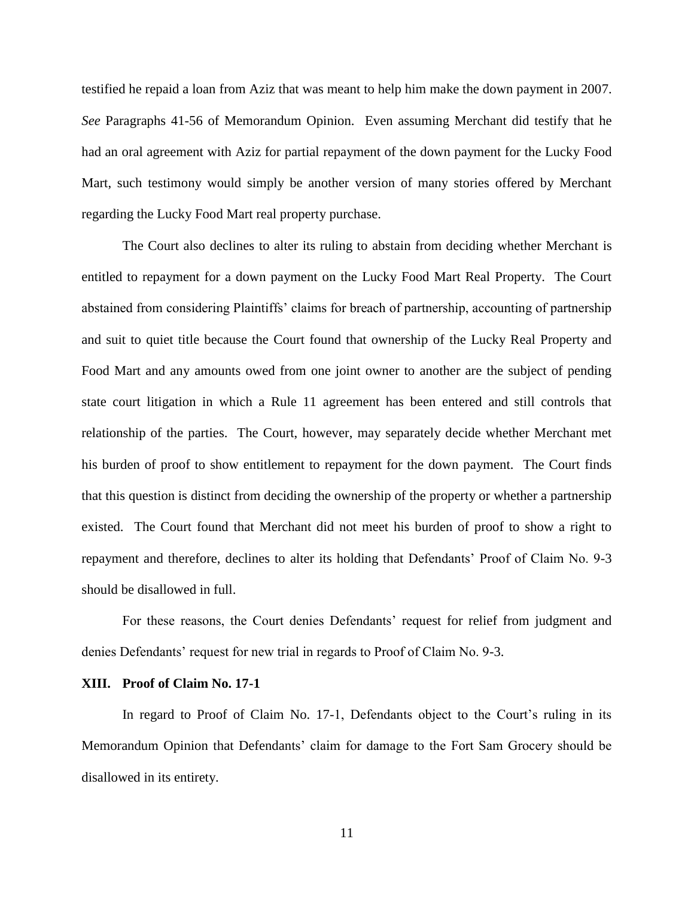testified he repaid a loan from Aziz that was meant to help him make the down payment in 2007. *See* Paragraphs 41-56 of Memorandum Opinion. Even assuming Merchant did testify that he had an oral agreement with Aziz for partial repayment of the down payment for the Lucky Food Mart, such testimony would simply be another version of many stories offered by Merchant regarding the Lucky Food Mart real property purchase.

The Court also declines to alter its ruling to abstain from deciding whether Merchant is entitled to repayment for a down payment on the Lucky Food Mart Real Property. The Court abstained from considering Plaintiffs' claims for breach of partnership, accounting of partnership and suit to quiet title because the Court found that ownership of the Lucky Real Property and Food Mart and any amounts owed from one joint owner to another are the subject of pending state court litigation in which a Rule 11 agreement has been entered and still controls that relationship of the parties. The Court, however, may separately decide whether Merchant met his burden of proof to show entitlement to repayment for the down payment. The Court finds that this question is distinct from deciding the ownership of the property or whether a partnership existed. The Court found that Merchant did not meet his burden of proof to show a right to repayment and therefore, declines to alter its holding that Defendants' Proof of Claim No. 9-3 should be disallowed in full.

For these reasons, the Court denies Defendants' request for relief from judgment and denies Defendants' request for new trial in regards to Proof of Claim No. 9-3.

#### **XIII. Proof of Claim No. 17-1**

In regard to Proof of Claim No. 17-1, Defendants object to the Court's ruling in its Memorandum Opinion that Defendants' claim for damage to the Fort Sam Grocery should be disallowed in its entirety.

11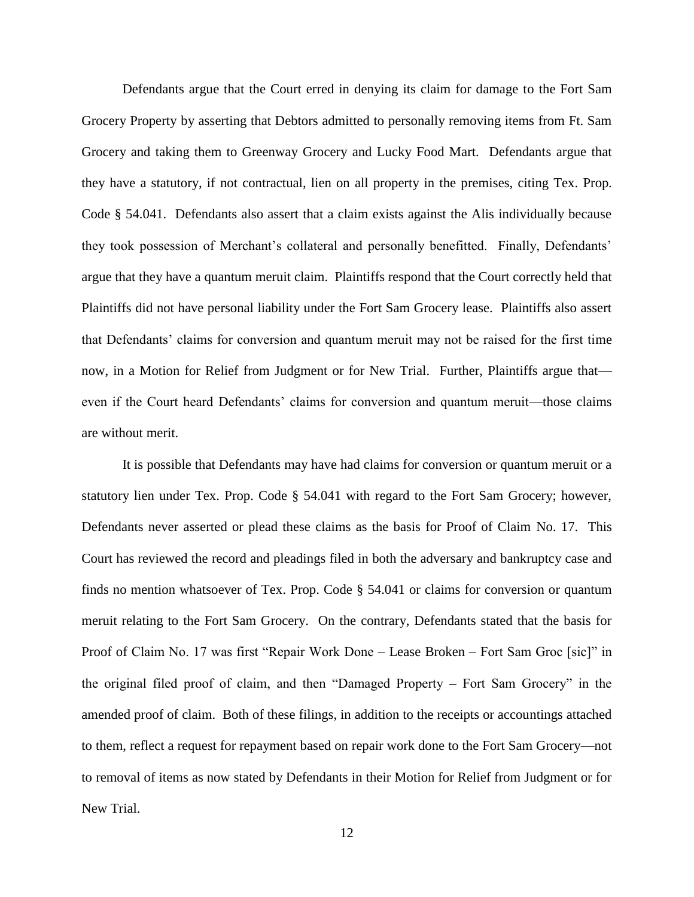Defendants argue that the Court erred in denying its claim for damage to the Fort Sam Grocery Property by asserting that Debtors admitted to personally removing items from Ft. Sam Grocery and taking them to Greenway Grocery and Lucky Food Mart. Defendants argue that they have a statutory, if not contractual, lien on all property in the premises, citing Tex. Prop. Code § 54.041. Defendants also assert that a claim exists against the Alis individually because they took possession of Merchant's collateral and personally benefitted. Finally, Defendants' argue that they have a quantum meruit claim. Plaintiffs respond that the Court correctly held that Plaintiffs did not have personal liability under the Fort Sam Grocery lease. Plaintiffs also assert that Defendants' claims for conversion and quantum meruit may not be raised for the first time now, in a Motion for Relief from Judgment or for New Trial. Further, Plaintiffs argue that even if the Court heard Defendants' claims for conversion and quantum meruit—those claims are without merit.

It is possible that Defendants may have had claims for conversion or quantum meruit or a statutory lien under Tex. Prop. Code § 54.041 with regard to the Fort Sam Grocery; however, Defendants never asserted or plead these claims as the basis for Proof of Claim No. 17. This Court has reviewed the record and pleadings filed in both the adversary and bankruptcy case and finds no mention whatsoever of Tex. Prop. Code § 54.041 or claims for conversion or quantum meruit relating to the Fort Sam Grocery. On the contrary, Defendants stated that the basis for Proof of Claim No. 17 was first "Repair Work Done – Lease Broken – Fort Sam Groc [sic]" in the original filed proof of claim, and then "Damaged Property – Fort Sam Grocery" in the amended proof of claim. Both of these filings, in addition to the receipts or accountings attached to them, reflect a request for repayment based on repair work done to the Fort Sam Grocery—not to removal of items as now stated by Defendants in their Motion for Relief from Judgment or for New Trial.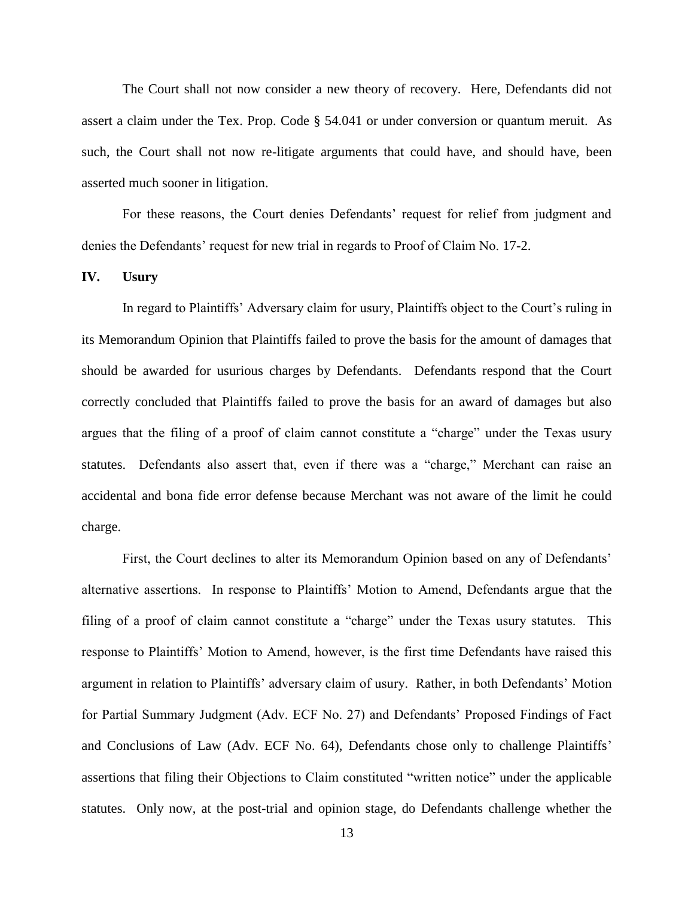The Court shall not now consider a new theory of recovery. Here, Defendants did not assert a claim under the Tex. Prop. Code § 54.041 or under conversion or quantum meruit. As such, the Court shall not now re-litigate arguments that could have, and should have, been asserted much sooner in litigation.

For these reasons, the Court denies Defendants' request for relief from judgment and denies the Defendants' request for new trial in regards to Proof of Claim No. 17-2.

#### **IV. Usury**

In regard to Plaintiffs' Adversary claim for usury, Plaintiffs object to the Court's ruling in its Memorandum Opinion that Plaintiffs failed to prove the basis for the amount of damages that should be awarded for usurious charges by Defendants. Defendants respond that the Court correctly concluded that Plaintiffs failed to prove the basis for an award of damages but also argues that the filing of a proof of claim cannot constitute a "charge" under the Texas usury statutes. Defendants also assert that, even if there was a "charge," Merchant can raise an accidental and bona fide error defense because Merchant was not aware of the limit he could charge.

First, the Court declines to alter its Memorandum Opinion based on any of Defendants' alternative assertions. In response to Plaintiffs' Motion to Amend, Defendants argue that the filing of a proof of claim cannot constitute a "charge" under the Texas usury statutes. This response to Plaintiffs' Motion to Amend, however, is the first time Defendants have raised this argument in relation to Plaintiffs' adversary claim of usury. Rather, in both Defendants' Motion for Partial Summary Judgment (Adv. ECF No. 27) and Defendants' Proposed Findings of Fact and Conclusions of Law (Adv. ECF No. 64), Defendants chose only to challenge Plaintiffs' assertions that filing their Objections to Claim constituted "written notice" under the applicable statutes. Only now, at the post-trial and opinion stage, do Defendants challenge whether the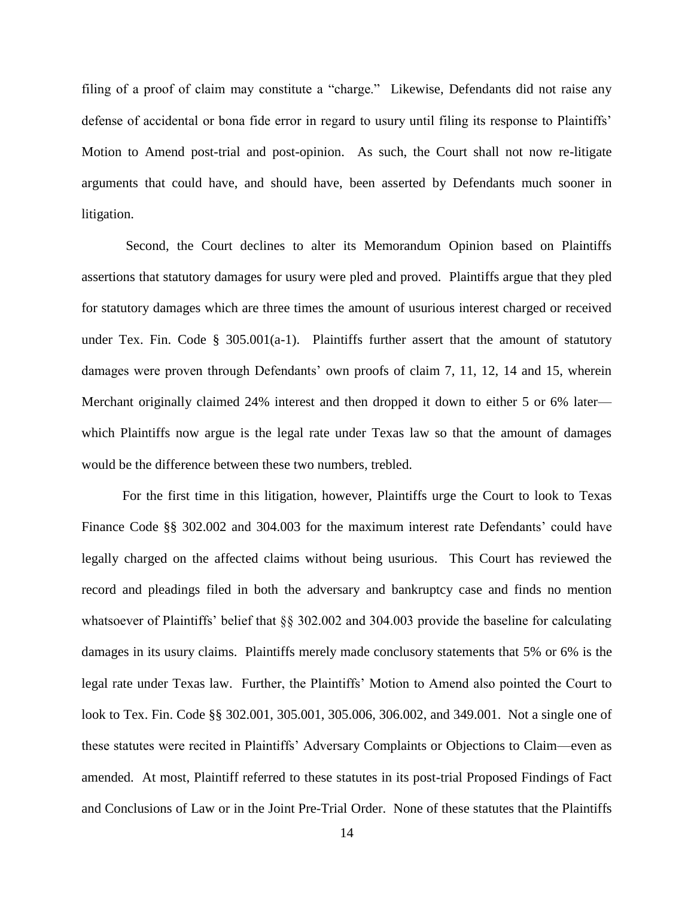filing of a proof of claim may constitute a "charge." Likewise, Defendants did not raise any defense of accidental or bona fide error in regard to usury until filing its response to Plaintiffs' Motion to Amend post-trial and post-opinion. As such, the Court shall not now re-litigate arguments that could have, and should have, been asserted by Defendants much sooner in litigation.

Second, the Court declines to alter its Memorandum Opinion based on Plaintiffs assertions that statutory damages for usury were pled and proved. Plaintiffs argue that they pled for statutory damages which are three times the amount of usurious interest charged or received under Tex. Fin. Code § 305.001(a-1). Plaintiffs further assert that the amount of statutory damages were proven through Defendants' own proofs of claim 7, 11, 12, 14 and 15, wherein Merchant originally claimed 24% interest and then dropped it down to either 5 or 6% later which Plaintiffs now argue is the legal rate under Texas law so that the amount of damages would be the difference between these two numbers, trebled.

For the first time in this litigation, however, Plaintiffs urge the Court to look to Texas Finance Code §§ 302.002 and 304.003 for the maximum interest rate Defendants' could have legally charged on the affected claims without being usurious. This Court has reviewed the record and pleadings filed in both the adversary and bankruptcy case and finds no mention whatsoever of Plaintiffs' belief that §§ 302.002 and 304.003 provide the baseline for calculating damages in its usury claims. Plaintiffs merely made conclusory statements that 5% or 6% is the legal rate under Texas law. Further, the Plaintiffs' Motion to Amend also pointed the Court to look to Tex. Fin. Code §§ 302.001, 305.001, 305.006, 306.002, and 349.001. Not a single one of these statutes were recited in Plaintiffs' Adversary Complaints or Objections to Claim—even as amended. At most, Plaintiff referred to these statutes in its post-trial Proposed Findings of Fact and Conclusions of Law or in the Joint Pre-Trial Order. None of these statutes that the Plaintiffs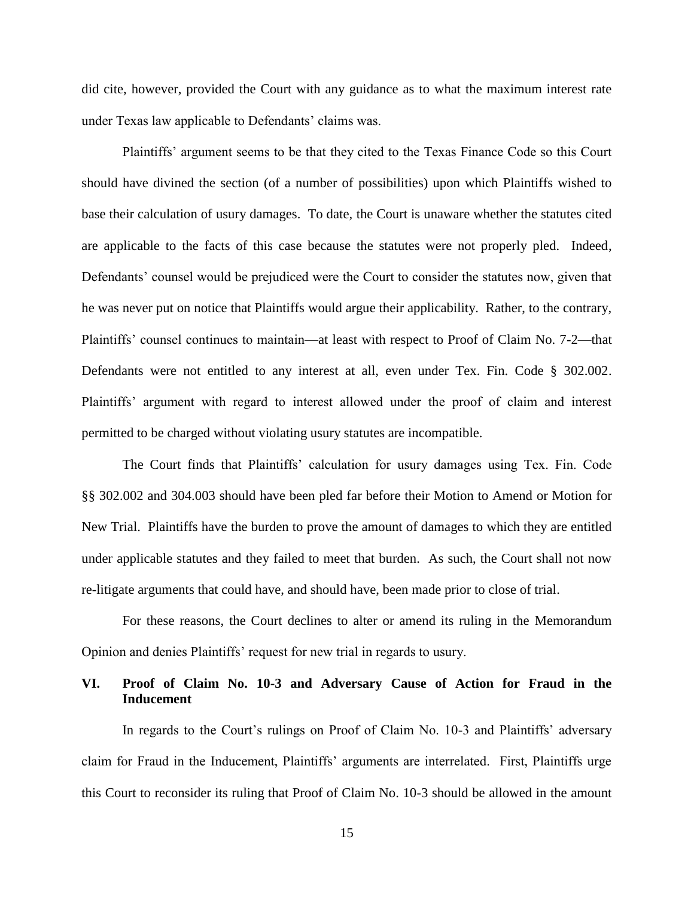did cite, however, provided the Court with any guidance as to what the maximum interest rate under Texas law applicable to Defendants' claims was.

Plaintiffs' argument seems to be that they cited to the Texas Finance Code so this Court should have divined the section (of a number of possibilities) upon which Plaintiffs wished to base their calculation of usury damages. To date, the Court is unaware whether the statutes cited are applicable to the facts of this case because the statutes were not properly pled. Indeed, Defendants' counsel would be prejudiced were the Court to consider the statutes now, given that he was never put on notice that Plaintiffs would argue their applicability. Rather, to the contrary, Plaintiffs' counsel continues to maintain—at least with respect to Proof of Claim No. 7-2—that Defendants were not entitled to any interest at all, even under Tex. Fin. Code § 302.002. Plaintiffs' argument with regard to interest allowed under the proof of claim and interest permitted to be charged without violating usury statutes are incompatible.

The Court finds that Plaintiffs' calculation for usury damages using Tex. Fin. Code §§ 302.002 and 304.003 should have been pled far before their Motion to Amend or Motion for New Trial. Plaintiffs have the burden to prove the amount of damages to which they are entitled under applicable statutes and they failed to meet that burden. As such, the Court shall not now re-litigate arguments that could have, and should have, been made prior to close of trial.

For these reasons, the Court declines to alter or amend its ruling in the Memorandum Opinion and denies Plaintiffs' request for new trial in regards to usury.

# **VI. Proof of Claim No. 10-3 and Adversary Cause of Action for Fraud in the Inducement**

In regards to the Court's rulings on Proof of Claim No. 10-3 and Plaintiffs' adversary claim for Fraud in the Inducement, Plaintiffs' arguments are interrelated. First, Plaintiffs urge this Court to reconsider its ruling that Proof of Claim No. 10-3 should be allowed in the amount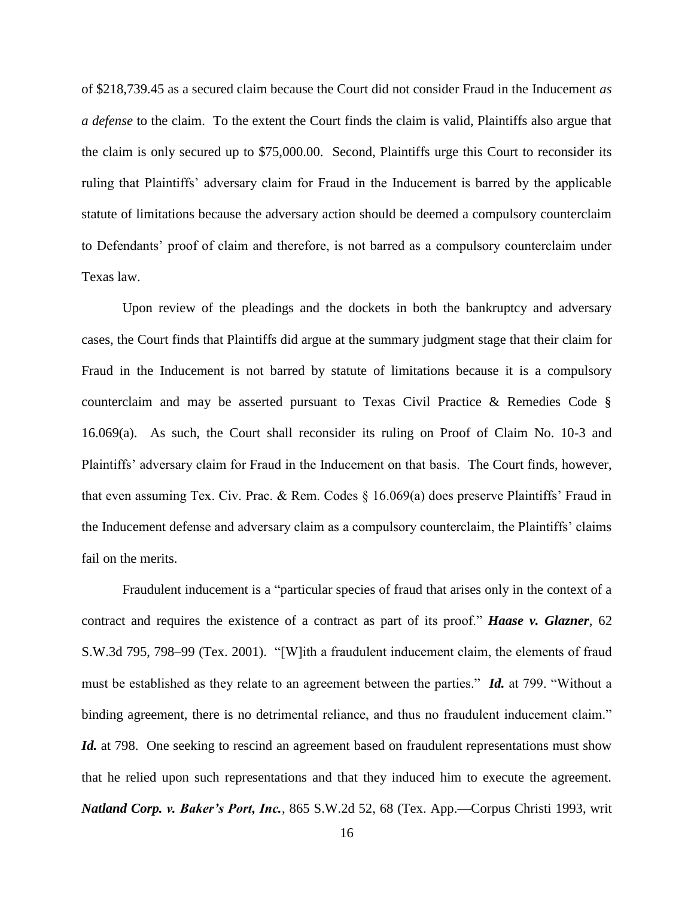of \$218,739.45 as a secured claim because the Court did not consider Fraud in the Inducement *as a defense* to the claim. To the extent the Court finds the claim is valid, Plaintiffs also argue that the claim is only secured up to \$75,000.00. Second, Plaintiffs urge this Court to reconsider its ruling that Plaintiffs' adversary claim for Fraud in the Inducement is barred by the applicable statute of limitations because the adversary action should be deemed a compulsory counterclaim to Defendants' proof of claim and therefore, is not barred as a compulsory counterclaim under Texas law.

Upon review of the pleadings and the dockets in both the bankruptcy and adversary cases, the Court finds that Plaintiffs did argue at the summary judgment stage that their claim for Fraud in the Inducement is not barred by statute of limitations because it is a compulsory counterclaim and may be asserted pursuant to Texas Civil Practice & Remedies Code § 16.069(a). As such, the Court shall reconsider its ruling on Proof of Claim No. 10-3 and Plaintiffs' adversary claim for Fraud in the Inducement on that basis. The Court finds, however, that even assuming Tex. Civ. Prac. & Rem. Codes § 16.069(a) does preserve Plaintiffs' Fraud in the Inducement defense and adversary claim as a compulsory counterclaim, the Plaintiffs' claims fail on the merits.

Fraudulent inducement is a "particular species of fraud that arises only in the context of a contract and requires the existence of a contract as part of its proof." *Haase v. Glazner,* 62 S.W.3d 795, 798–99 (Tex. 2001). "[W]ith a fraudulent inducement claim, the elements of fraud must be established as they relate to an agreement between the parties." *Id.* at 799. "Without a binding agreement, there is no detrimental reliance, and thus no fraudulent inducement claim." *Id.* at 798. One seeking to rescind an agreement based on fraudulent representations must show that he relied upon such representations and that they induced him to execute the agreement. *Natland Corp. v. Baker's Port, Inc.*, 865 S.W.2d 52, 68 (Tex. App.—Corpus Christi 1993, writ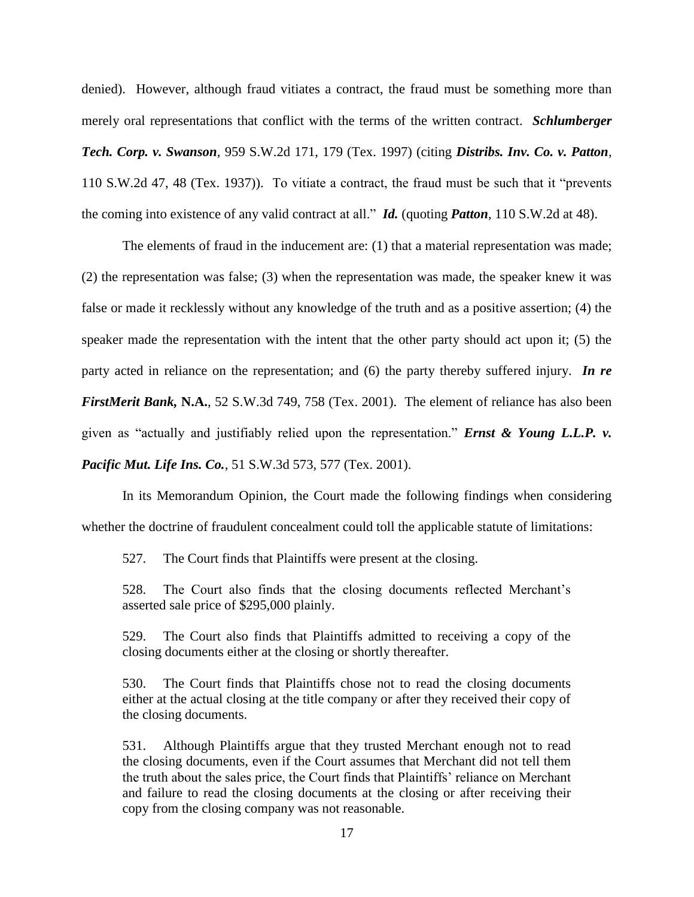denied). However, although fraud vitiates a contract, the fraud must be something more than merely oral representations that conflict with the terms of the written contract. *Schlumberger Tech. Corp. v. Swanson,* 959 S.W.2d 171, 179 (Tex. 1997) (citing *Distribs. Inv. Co. v. Patton,* 110 S.W.2d 47, 48 (Tex. 1937)). To vitiate a contract, the fraud must be such that it "prevents the coming into existence of any valid contract at all." *Id.* (quoting *Patton,* 110 S.W.2d at 48).

The elements of fraud in the inducement are: (1) that a material representation was made; (2) the representation was false; (3) when the representation was made, the speaker knew it was false or made it recklessly without any knowledge of the truth and as a positive assertion; (4) the speaker made the representation with the intent that the other party should act upon it; (5) the party acted in reliance on the representation; and (6) the party thereby suffered injury. *In re FirstMerit Bank,* **N.A.**, 52 S.W.3d 749, 758 (Tex. 2001). The element of reliance has also been given as "actually and justifiably relied upon the representation." *Ernst & Young L.L.P. v. Pacific Mut. Life Ins. Co.,* 51 S.W.3d 573, 577 (Tex. 2001).

In its Memorandum Opinion, the Court made the following findings when considering whether the doctrine of fraudulent concealment could toll the applicable statute of limitations:

527. The Court finds that Plaintiffs were present at the closing.

528. The Court also finds that the closing documents reflected Merchant's asserted sale price of \$295,000 plainly.

529. The Court also finds that Plaintiffs admitted to receiving a copy of the closing documents either at the closing or shortly thereafter.

530. The Court finds that Plaintiffs chose not to read the closing documents either at the actual closing at the title company or after they received their copy of the closing documents.

531. Although Plaintiffs argue that they trusted Merchant enough not to read the closing documents, even if the Court assumes that Merchant did not tell them the truth about the sales price, the Court finds that Plaintiffs' reliance on Merchant and failure to read the closing documents at the closing or after receiving their copy from the closing company was not reasonable.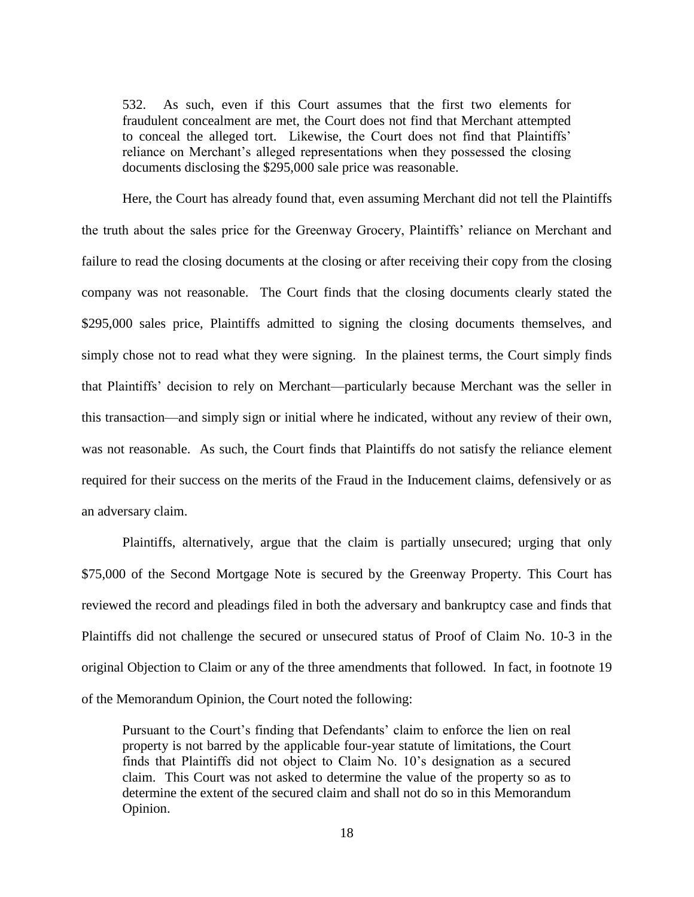532. As such, even if this Court assumes that the first two elements for fraudulent concealment are met, the Court does not find that Merchant attempted to conceal the alleged tort. Likewise, the Court does not find that Plaintiffs' reliance on Merchant's alleged representations when they possessed the closing documents disclosing the \$295,000 sale price was reasonable.

Here, the Court has already found that, even assuming Merchant did not tell the Plaintiffs the truth about the sales price for the Greenway Grocery, Plaintiffs' reliance on Merchant and failure to read the closing documents at the closing or after receiving their copy from the closing company was not reasonable. The Court finds that the closing documents clearly stated the \$295,000 sales price, Plaintiffs admitted to signing the closing documents themselves, and simply chose not to read what they were signing. In the plainest terms, the Court simply finds that Plaintiffs' decision to rely on Merchant—particularly because Merchant was the seller in this transaction—and simply sign or initial where he indicated, without any review of their own, was not reasonable. As such, the Court finds that Plaintiffs do not satisfy the reliance element required for their success on the merits of the Fraud in the Inducement claims, defensively or as an adversary claim.

Plaintiffs, alternatively, argue that the claim is partially unsecured; urging that only \$75,000 of the Second Mortgage Note is secured by the Greenway Property. This Court has reviewed the record and pleadings filed in both the adversary and bankruptcy case and finds that Plaintiffs did not challenge the secured or unsecured status of Proof of Claim No. 10-3 in the original Objection to Claim or any of the three amendments that followed. In fact, in footnote 19 of the Memorandum Opinion, the Court noted the following:

Pursuant to the Court's finding that Defendants' claim to enforce the lien on real property is not barred by the applicable four-year statute of limitations, the Court finds that Plaintiffs did not object to Claim No. 10's designation as a secured claim. This Court was not asked to determine the value of the property so as to determine the extent of the secured claim and shall not do so in this Memorandum Opinion.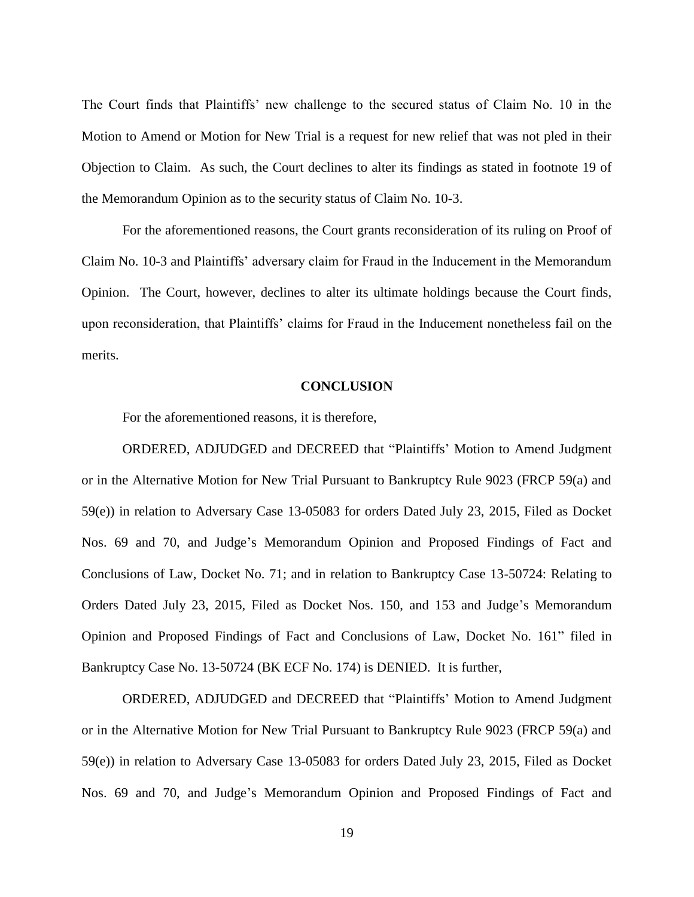The Court finds that Plaintiffs' new challenge to the secured status of Claim No. 10 in the Motion to Amend or Motion for New Trial is a request for new relief that was not pled in their Objection to Claim. As such, the Court declines to alter its findings as stated in footnote 19 of the Memorandum Opinion as to the security status of Claim No. 10-3.

For the aforementioned reasons, the Court grants reconsideration of its ruling on Proof of Claim No. 10-3 and Plaintiffs' adversary claim for Fraud in the Inducement in the Memorandum Opinion. The Court, however, declines to alter its ultimate holdings because the Court finds, upon reconsideration, that Plaintiffs' claims for Fraud in the Inducement nonetheless fail on the merits.

#### **CONCLUSION**

For the aforementioned reasons, it is therefore,

ORDERED, ADJUDGED and DECREED that "Plaintiffs' Motion to Amend Judgment or in the Alternative Motion for New Trial Pursuant to Bankruptcy Rule 9023 (FRCP 59(a) and 59(e)) in relation to Adversary Case 13-05083 for orders Dated July 23, 2015, Filed as Docket Nos. 69 and 70, and Judge's Memorandum Opinion and Proposed Findings of Fact and Conclusions of Law, Docket No. 71; and in relation to Bankruptcy Case 13-50724: Relating to Orders Dated July 23, 2015, Filed as Docket Nos. 150, and 153 and Judge's Memorandum Opinion and Proposed Findings of Fact and Conclusions of Law, Docket No. 161" filed in Bankruptcy Case No. 13-50724 (BK ECF No. 174) is DENIED. It is further,

ORDERED, ADJUDGED and DECREED that "Plaintiffs' Motion to Amend Judgment or in the Alternative Motion for New Trial Pursuant to Bankruptcy Rule 9023 (FRCP 59(a) and 59(e)) in relation to Adversary Case 13-05083 for orders Dated July 23, 2015, Filed as Docket Nos. 69 and 70, and Judge's Memorandum Opinion and Proposed Findings of Fact and